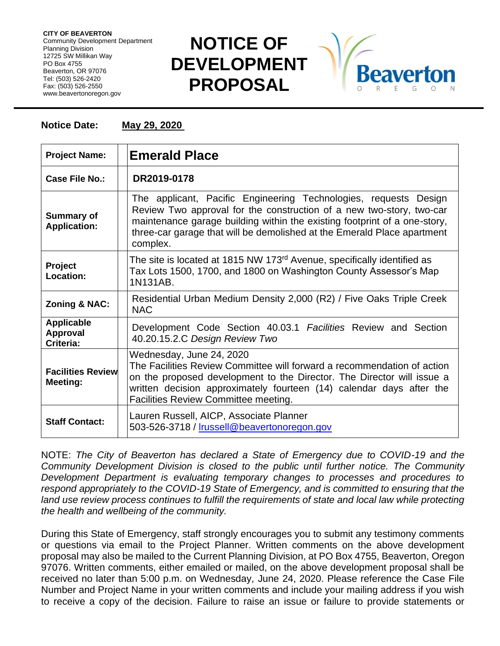**CITY OF BEAVERTON** Community Development Department Planning Division 12725 SW Millikan Way PO Box 4755 Beaverton, OR 97076 Tel: (503) 526-2420 Fax: (503) 526-2550 www.beavertonoregon.gov

## **NOTICE OF DEVELOPMENT PROPOSAL**



## **Notice Date: May 29, 2020**

| <b>Project Name:</b>                              | <b>Emerald Place</b>                                                                                                                                                                                                                                                                                         |
|---------------------------------------------------|--------------------------------------------------------------------------------------------------------------------------------------------------------------------------------------------------------------------------------------------------------------------------------------------------------------|
| Case File No.:                                    | DR2019-0178                                                                                                                                                                                                                                                                                                  |
| <b>Summary of</b><br><b>Application:</b>          | The applicant, Pacific Engineering Technologies, requests Design<br>Review Two approval for the construction of a new two-story, two-car<br>maintenance garage building within the existing footprint of a one-story,<br>three-car garage that will be demolished at the Emerald Place apartment<br>complex. |
| <b>Project</b><br>Location:                       | The site is located at 1815 NW 173 <sup>rd</sup> Avenue, specifically identified as<br>Tax Lots 1500, 1700, and 1800 on Washington County Assessor's Map<br>1N131AB.                                                                                                                                         |
| <b>Zoning &amp; NAC:</b>                          | Residential Urban Medium Density 2,000 (R2) / Five Oaks Triple Creek<br><b>NAC</b>                                                                                                                                                                                                                           |
| <b>Applicable</b><br><b>Approval</b><br>Criteria: | Development Code Section 40.03.1 Facilities Review and Section<br>40.20.15.2.C Design Review Two                                                                                                                                                                                                             |
| <b>Facilities Review</b><br>Meeting:              | Wednesday, June 24, 2020<br>The Facilities Review Committee will forward a recommendation of action<br>on the proposed development to the Director. The Director will issue a<br>written decision approximately fourteen (14) calendar days after the<br>Facilities Review Committee meeting.                |
| <b>Staff Contact:</b>                             | Lauren Russell, AICP, Associate Planner<br>503-526-3718 / Irussell@beavertonoregon.gov                                                                                                                                                                                                                       |

NOTE: *The City of Beaverton has declared a State of Emergency due to COVID-19 and the Community Development Division is closed to the public until further notice. The Community Development Department is evaluating temporary changes to processes and procedures to respond appropriately to the COVID-19 State of Emergency, and is committed to ensuring that the*  land use review process continues to fulfill the requirements of state and local law while protecting *the health and wellbeing of the community.*

During this State of Emergency, staff strongly encourages you to submit any testimony comments or questions via email to the Project Planner. Written comments on the above development proposal may also be mailed to the Current Planning Division, at PO Box 4755, Beaverton, Oregon 97076. Written comments, either emailed or mailed, on the above development proposal shall be received no later than 5:00 p.m. on Wednesday, June 24, 2020. Please reference the Case File Number and Project Name in your written comments and include your mailing address if you wish to receive a copy of the decision. Failure to raise an issue or failure to provide statements or